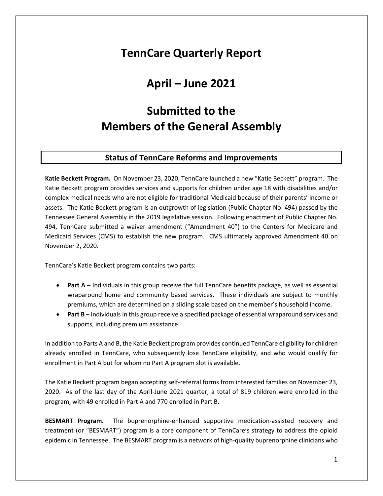## **TennCare Quarterly Report**

# **April – June 2021**

# **Submitted to the Members of the General Assembly**

## **Status of TennCare Reforms and Improvements**

**Katie Beckett Program.** On November 23, 2020, TennCare launched a new "Katie Beckett" program. The Katie Beckett program provides services and supports for children under age 18 with disabilities and/or complex medical needs who are not eligible for traditional Medicaid because of their parents' income or assets. The Katie Beckett program is an outgrowth of legislation (Public Chapter No. 494) passed by the Tennessee General Assembly in the 2019 legislative session. Following enactment of Public Chapter No. 494, TennCare submitted a waiver amendment ("Amendment 40") to the Centers for Medicare and Medicaid Services (CMS) to establish the new program. CMS ultimately approved Amendment 40 on November 2, 2020.

TennCare's Katie Beckett program contains two parts:

- **Part A** Individuals in this group receive the full TennCare benefits package, as well as essential wraparound home and community based services. These individuals are subject to monthly premiums, which are determined on a sliding scale based on the member's household income.
- **Part B** Individuals in this group receive a specified package of essential wraparound services and supports, including premium assistance.

In addition to Parts A and B, the Katie Beckett program provides continued TennCare eligibility for children already enrolled in TennCare, who subsequently lose TennCare eligibility, and who would qualify for enrollment in Part A but for whom no Part A program slot is available.

The Katie Beckett program began accepting self-referral forms from interested families on November 23, 2020. As of the last day of the April-June 2021 quarter, a total of 819 children were enrolled in the program, with 49 enrolled in Part A and 770 enrolled in Part B.

**BESMART Program.** The buprenorphine-enhanced supportive medication-assisted recovery and treatment (or "BESMART") program is a core component of TennCare's strategy to address the opioid epidemic in Tennessee. The BESMART program is a network of high-quality buprenorphine clinicians who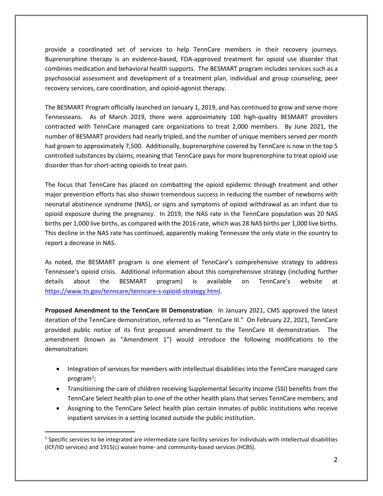provide a coordinated set of services to help TennCare members in their recovery journeys. Buprenorphine therapy is an evidence-based, FDA-approved treatment for opioid use disorder that combines medication and behavioral health supports. The BESMART program includes services such as a psychosocial assessment and development of a treatment plan, individual and group counseling, peer recovery services, care coordination, and opioid-agonist therapy.

The BESMART Program officially launched on January 1, 2019, and has continued to grow and serve more Tennesseans. As of March 2019, there were approximately 100 high-quality BESMART providers contracted with TennCare managed care organizations to treat 2,000 members. By June 2021, the number of BESMART providers had nearly tripled, and the number of unique members served per month had grown to approximately 7,500. Additionally, buprenorphine covered by TennCare is now in the top 5 controlled substances by claims, meaning that TennCare pays for more buprenorphine to treat opioid use disorder than for short-acting opioids to treat pain.

The focus that TennCare has placed on combatting the opioid epidemic through treatment and other major prevention efforts has also shown tremendous success in reducing the number of newborns with neonatal abstinence syndrome (NAS), or signs and symptoms of opioid withdrawal as an infant due to opioid exposure during the pregnancy. In 2019, the NAS rate in the TennCare population was 20 NAS births per 1,000 live births, as compared with the 2016 rate, which was 28 NAS births per 1,000 live births. This decline in the NAS rate has continued, apparently making Tennessee the only state in the country to report a decrease in NAS.

As noted, the BESMART program is one element of TennCare's comprehensive strategy to address Tennessee's opioid crisis. Additional information about this comprehensive strategy (including further details about the BESMART program) is available on TennCare's website at [https://www.tn.gov/tenncare/tenncare-s-opioid-strategy.html.](https://www.tn.gov/tenncare/tenncare-s-opioid-strategy.html)

**Proposed Amendment to the TennCare III Demonstration**. In January 2021, CMS approved the latest iteration of the TennCare demonstration, referred to as "TennCare III." On February 22, 2021, TennCare provided public notice of its first proposed amendment to the TennCare III demonstration. The amendment (known as "Amendment 1") would introduce the following modifications to the demonstration:

- Integration of services for members with intellectual disabilities into the TennCare managed care program $^1$  $^1$ ;
- Transitioning the care of children receiving Supplemental Security Income (SSI) benefits from the TennCare Select health plan to one of the other health plans that serves TennCare members; and
- Assigning to the TennCare Select health plan certain inmates of public institutions who receive inpatient services in a setting located outside the public institution.

<span id="page-1-0"></span> $1$  Specific services to be integrated are intermediate care facility services for individuals with intellectual disabilities (ICF/IID services) and 1915(c) waiver home- and community-based services (HCBS).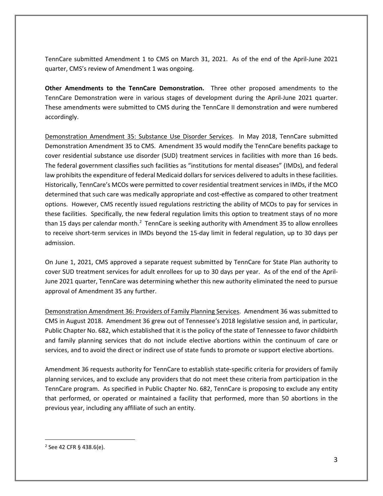TennCare submitted Amendment 1 to CMS on March 31, 2021. As of the end of the April-June 2021 quarter, CMS's review of Amendment 1 was ongoing.

**Other Amendments to the TennCare Demonstration.** Three other proposed amendments to the TennCare Demonstration were in various stages of development during the April-June 2021 quarter. These amendments were submitted to CMS during the TennCare II demonstration and were numbered accordingly.

Demonstration Amendment 35: Substance Use Disorder Services. In May 2018, TennCare submitted Demonstration Amendment 35 to CMS. Amendment 35 would modify the TennCare benefits package to cover residential substance use disorder (SUD) treatment services in facilities with more than 16 beds. The federal government classifies such facilities as "institutions for mental diseases" (IMDs), and federal law prohibits the expenditure of federal Medicaid dollars for services delivered to adults in these facilities. Historically, TennCare's MCOs were permitted to cover residential treatment services in IMDs, if the MCO determined that such care was medically appropriate and cost-effective as compared to other treatment options. However, CMS recently issued regulations restricting the ability of MCOs to pay for services in these facilities. Specifically, the new federal regulation limits this option to treatment stays of no more than 15 days per calendar month.<sup>[2](#page-2-0)</sup> TennCare is seeking authority with Amendment 35 to allow enrollees to receive short-term services in IMDs beyond the 15-day limit in federal regulation, up to 30 days per admission.

On June 1, 2021, CMS approved a separate request submitted by TennCare for State Plan authority to cover SUD treatment services for adult enrollees for up to 30 days per year. As of the end of the April-June 2021 quarter, TennCare was determining whether this new authority eliminated the need to pursue approval of Amendment 35 any further.

Demonstration Amendment 36: Providers of Family Planning Services. Amendment 36 was submitted to CMS in August 2018. Amendment 36 grew out of Tennessee's 2018 legislative session and, in particular, Public Chapter No. 682, which established that it is the policy of the state of Tennessee to favor childbirth and family planning services that do not include elective abortions within the continuum of care or services, and to avoid the direct or indirect use of state funds to promote or support elective abortions.

Amendment 36 requests authority for TennCare to establish state-specific criteria for providers of family planning services, and to exclude any providers that do not meet these criteria from participation in the TennCare program. As specified in Public Chapter No. 682, TennCare is proposing to exclude any entity that performed, or operated or maintained a facility that performed, more than 50 abortions in the previous year, including any affiliate of such an entity.

<span id="page-2-0"></span><sup>2</sup> See 42 CFR § 438.6(e).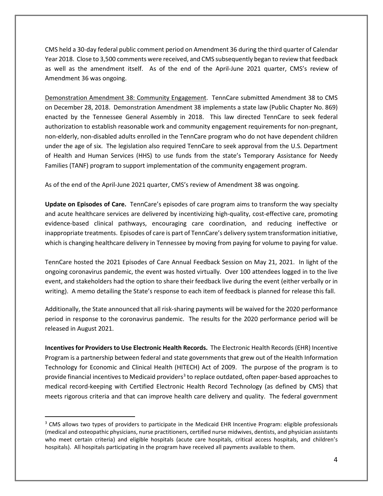CMS held a 30-day federal public comment period on Amendment 36 during the third quarter of Calendar Year 2018. Close to 3,500 comments were received, and CMS subsequently began to review that feedback as well as the amendment itself. As of the end of the April-June 2021 quarter, CMS's review of Amendment 36 was ongoing.

Demonstration Amendment 38: Community Engagement. TennCare submitted Amendment 38 to CMS on December 28, 2018. Demonstration Amendment 38 implements a state law (Public Chapter No. 869) enacted by the Tennessee General Assembly in 2018. This law directed TennCare to seek federal authorization to establish reasonable work and community engagement requirements for non-pregnant, non-elderly, non-disabled adults enrolled in the TennCare program who do not have dependent children under the age of six. The legislation also required TennCare to seek approval from the U.S. Department of Health and Human Services (HHS) to use funds from the state's Temporary Assistance for Needy Families (TANF) program to support implementation of the community engagement program.

As of the end of the April-June 2021 quarter, CMS's review of Amendment 38 was ongoing.

**Update on Episodes of Care.** TennCare's episodes of care program aims to transform the way specialty and acute healthcare services are delivered by incentivizing high-quality, cost-effective care, promoting evidence-based clinical pathways, encouraging care coordination, and reducing ineffective or inappropriate treatments. Episodes of care is part of TennCare's delivery system transformation initiative, which is changing healthcare delivery in Tennessee by moving from paying for volume to paying for value.

TennCare hosted the 2021 Episodes of Care Annual Feedback Session on May 21, 2021. In light of the ongoing coronavirus pandemic, the event was hosted virtually. Over 100 attendees logged in to the live event, and stakeholders had the option to share their feedback live during the event (either verbally or in writing). A memo detailing the State's response to each item of feedback is planned for release this fall.

Additionally, the State announced that all risk-sharing payments will be waived for the 2020 performance period in response to the coronavirus pandemic. The results for the 2020 performance period will be released in August 2021.

**Incentives for Providers to Use Electronic Health Records.** The Electronic Health Records (EHR) Incentive Program is a partnership between federal and state governments that grew out of the Health Information Technology for Economic and Clinical Health (HITECH) Act of 2009. The purpose of the program is to provide financial incentives to Medicaid providers<sup>3</sup> to replace outdated, often paper-based approaches to medical record-keeping with Certified Electronic Health Record Technology (as defined by CMS) that meets rigorous criteria and that can improve health care delivery and quality. The federal government

<span id="page-3-0"></span><sup>&</sup>lt;sup>3</sup> CMS allows two types of providers to participate in the Medicaid EHR Incentive Program: eligible professionals (medical and osteopathic physicians, nurse practitioners, certified nurse midwives, dentists, and physician assistants who meet certain criteria) and eligible hospitals (acute care hospitals, critical access hospitals, and children's hospitals). All hospitals participating in the program have received all payments available to them.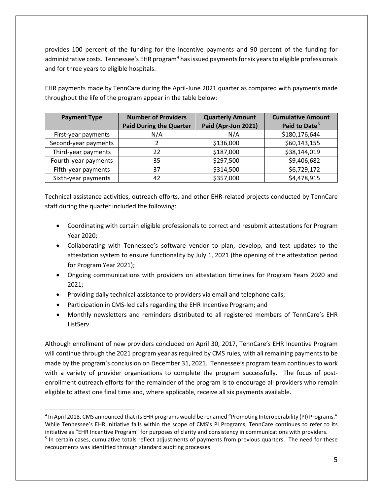provides 100 percent of the funding for the incentive payments and 90 percent of the funding for administrative costs. Tennessee's EHR program<sup>[4](#page-4-0)</sup> has issued payments for six years to eligible professionals and for three years to eligible hospitals.

EHR payments made by TennCare during the April-June 2021 quarter as compared with payments made throughout the life of the program appear in the table below:

| <b>Payment Type</b>  | <b>Number of Providers</b>     | <b>Quarterly Amount</b> | <b>Cumulative Amount</b>  |
|----------------------|--------------------------------|-------------------------|---------------------------|
|                      | <b>Paid During the Quarter</b> | Paid (Apr-Jun 2021)     | Paid to Date <sup>5</sup> |
| First-year payments  | N/A                            | N/A                     | \$180,176,644             |
| Second-year payments |                                | \$136,000               | \$60,143,155              |
| Third-year payments  | 22                             | \$187,000               | \$38,144,019              |
| Fourth-year payments | 35                             | \$297,500               | \$9,406,682               |
| Fifth-year payments  | 37                             | \$314,500               | \$6,729,172               |
| Sixth-year payments  | 42                             | \$357,000               | \$4,478,915               |

Technical assistance activities, outreach efforts, and other EHR-related projects conducted by TennCare staff during the quarter included the following:

- Coordinating with certain eligible professionals to correct and resubmit attestations for Program Year 2020;
- Collaborating with Tennessee's software vendor to plan, develop, and test updates to the attestation system to ensure functionality by July 1, 2021 (the opening of the attestation period for Program Year 2021);
- Ongoing communications with providers on attestation timelines for Program Years 2020 and 2021;
- Providing daily technical assistance to providers via email and telephone calls;
- Participation in CMS-led calls regarding the EHR Incentive Program; and
- Monthly newsletters and reminders distributed to all registered members of TennCare's EHR ListServ.

Although enrollment of new providers concluded on April 30, 2017, TennCare's EHR Incentive Program will continue through the 2021 program year as required by CMS rules, with all remaining payments to be made by the program's conclusion on December 31, 2021. Tennessee's program team continues to work with a variety of provider organizations to complete the program successfully. The focus of postenrollment outreach efforts for the remainder of the program is to encourage all providers who remain eligible to attest one final time and, where applicable, receive all six payments available.

<span id="page-4-1"></span><span id="page-4-0"></span><sup>4</sup> In April 2018, CMS announced that its EHR programs would be renamed "Promoting Interoperability (PI) Programs." While Tennessee's EHR initiative falls within the scope of CMS's PI Programs, TennCare continues to refer to its initiative as "EHR Incentive Program" for purposes of clarity and consistency in communications with providers. <sup>5</sup> In certain cases, cumulative totals reflect adjustments of payments from previous quarters. The need for these recoupments was identified through standard auditing processes.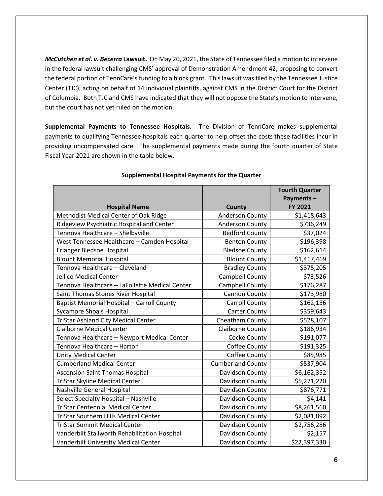*McCutchen et al. v. Becerra* **Lawsuit.** On May 20, 2021, the State of Tennessee filed a motion to intervene in the federal lawsuit challenging CMS' approval of Demonstration Amendment 42, proposing to convert the federal portion of TennCare's funding to a block grant. This lawsuit was filed by the Tennessee Justice Center (TJC), acting on behalf of 14 individual plaintiffs, against CMS in the District Court for the District of Columbia. Both TJC and CMS have indicated that they will not oppose the State's motion to intervene, but the court has not yet ruled on the motion.

**Supplemental Payments to Tennessee Hospitals.** The Division of TennCare makes supplemental payments to qualifying Tennessee hospitals each quarter to help offset the costs these facilities incur in providing uncompensated care. The supplemental payments made during the fourth quarter of State Fiscal Year 2021 are shown in the table below.

|                                                |                          | <b>Fourth Quarter</b><br>Payments- |
|------------------------------------------------|--------------------------|------------------------------------|
| <b>Hospital Name</b>                           | County                   | <b>FY 2021</b>                     |
| Methodist Medical Center of Oak Ridge          | <b>Anderson County</b>   | \$1,418,643                        |
| Ridgeview Psychiatric Hospital and Center      | Anderson County          | \$736,249                          |
| Tennova Healthcare - Shelbyville               | <b>Bedford County</b>    | \$37,024                           |
| West Tennessee Healthcare - Camden Hospital    | <b>Benton County</b>     | \$196,398                          |
| Erlanger Bledsoe Hospital                      | <b>Bledsoe County</b>    | \$162,614                          |
| <b>Blount Memorial Hospital</b>                | <b>Blount County</b>     | \$1,417,469                        |
| Tennova Healthcare - Cleveland                 | <b>Bradley County</b>    | \$375,205                          |
| Jellico Medical Center                         | Campbell County          | \$73,526                           |
| Tennova Healthcare - LaFollette Medical Center | Campbell County          | \$176,287                          |
| Saint Thomas Stones River Hospital             | Cannon County            | \$173,980                          |
| Baptist Memorial Hospital - Carroll County     | <b>Carroll County</b>    | \$162,156                          |
| <b>Sycamore Shoals Hospital</b>                | <b>Carter County</b>     | \$359,643                          |
| <b>TriStar Ashland City Medical Center</b>     | Cheatham County          | \$528,107                          |
| <b>Claiborne Medical Center</b>                | <b>Claiborne County</b>  | \$186,934                          |
| Tennova Healthcare - Newport Medical Center    | Cocke County             | \$191,077                          |
| Tennova Healthcare - Harton                    | Coffee County            | \$191,325                          |
| <b>Unity Medical Center</b>                    | Coffee County            | \$85,985                           |
| <b>Cumberland Medical Center</b>               | <b>Cumberland County</b> | \$537,904                          |
| <b>Ascension Saint Thomas Hospital</b>         | Davidson County          | \$6,162,352                        |
| <b>TriStar Skyline Medical Center</b>          | Davidson County          | \$5,271,220                        |
| Nashville General Hospital                     | Davidson County          | \$876,771                          |
| Select Specialty Hospital - Nashville          | Davidson County          | \$4,141                            |
| <b>TriStar Centennial Medical Center</b>       | Davidson County          | \$8,261,560                        |
| <b>TriStar Southern Hills Medical Center</b>   | Davidson County          | \$2,081,892                        |
| <b>TriStar Summit Medical Center</b>           | Davidson County          | \$2,756,286                        |
| Vanderbilt Stallworth Rehabilitation Hospital  | Davidson County          | \$2,157                            |
| Vanderbilt University Medical Center           | Davidson County          | \$22,397,330                       |

#### **Supplemental Hospital Payments for the Quarter**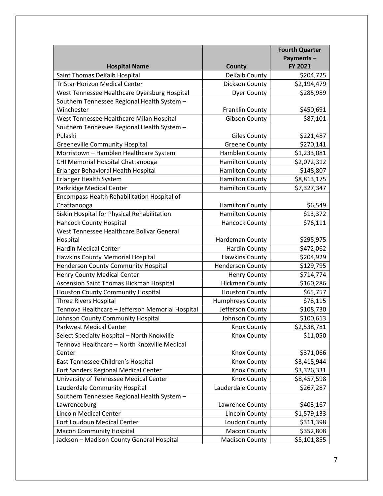|                                                  |                         | <b>Fourth Quarter</b> |
|--------------------------------------------------|-------------------------|-----------------------|
|                                                  |                         | Payments-             |
| <b>Hospital Name</b>                             | <b>County</b>           | FY 2021               |
| Saint Thomas DeKalb Hospital                     | DeKalb County           | \$204,725             |
| <b>TriStar Horizon Medical Center</b>            | Dickson County          | \$2,194,479           |
| West Tennessee Healthcare Dyersburg Hospital     | <b>Dyer County</b>      | \$285,989             |
| Southern Tennessee Regional Health System -      |                         |                       |
| Winchester                                       | <b>Franklin County</b>  | \$450,691             |
| West Tennessee Healthcare Milan Hospital         | <b>Gibson County</b>    | \$87,101              |
| Southern Tennessee Regional Health System -      |                         |                       |
| Pulaski                                          | <b>Giles County</b>     | \$221,487             |
| <b>Greeneville Community Hospital</b>            | <b>Greene County</b>    | \$270,141             |
| Morristown - Hamblen Healthcare System           | Hamblen County          | \$1,233,081           |
| CHI Memorial Hospital Chattanooga                | <b>Hamilton County</b>  | \$2,072,312           |
| Erlanger Behavioral Health Hospital              | <b>Hamilton County</b>  | \$148,807             |
| <b>Erlanger Health System</b>                    | <b>Hamilton County</b>  | \$8,813,175           |
| Parkridge Medical Center                         | <b>Hamilton County</b>  | \$7,327,347           |
| Encompass Health Rehabilitation Hospital of      |                         |                       |
| Chattanooga                                      | <b>Hamilton County</b>  | \$6,549               |
| Siskin Hospital for Physical Rehabilitation      | <b>Hamilton County</b>  | \$13,372              |
| <b>Hancock County Hospital</b>                   | <b>Hancock County</b>   | \$76,111              |
| West Tennessee Healthcare Bolivar General        |                         |                       |
| Hospital                                         | Hardeman County         | \$295,975             |
| <b>Hardin Medical Center</b>                     | <b>Hardin County</b>    | \$472,062             |
| Hawkins County Memorial Hospital                 | <b>Hawkins County</b>   | \$204,929             |
| <b>Henderson County Community Hospital</b>       | <b>Henderson County</b> | \$129,795             |
| Henry County Medical Center                      | <b>Henry County</b>     | \$714,774             |
| Ascension Saint Thomas Hickman Hospital          | <b>Hickman County</b>   | \$160,286             |
| <b>Houston County Community Hospital</b>         | <b>Houston County</b>   | \$65,757              |
| Three Rivers Hospital                            | Humphreys County        | \$78,115              |
| Tennova Healthcare - Jefferson Memorial Hospital | Jefferson County        | \$108,730             |
| Johnson County Community Hospital                | Johnson County          | \$100,613             |
| Parkwest Medical Center                          | <b>Knox County</b>      | \$2,538,781           |
| Select Specialty Hospital - North Knoxville      | <b>Knox County</b>      | \$11,050              |
| Tennova Healthcare - North Knoxville Medical     |                         |                       |
| Center                                           | <b>Knox County</b>      | \$371,066             |
| East Tennessee Children's Hospital               | <b>Knox County</b>      | \$3,415,944           |
| Fort Sanders Regional Medical Center             | <b>Knox County</b>      | \$3,326,331           |
| University of Tennessee Medical Center           | Knox County             | \$8,457,598           |
| Lauderdale Community Hospital                    | Lauderdale County       | \$267,287             |
| Southern Tennessee Regional Health System -      |                         |                       |
| Lawrenceburg                                     | Lawrence County         | \$403,167             |
| Lincoln Medical Center                           | Lincoln County          | \$1,579,133           |
| Fort Loudoun Medical Center                      | Loudon County           | \$311,398             |
| <b>Macon Community Hospital</b>                  | <b>Macon County</b>     | \$352,808             |
| Jackson - Madison County General Hospital        | <b>Madison County</b>   | \$5,101,855           |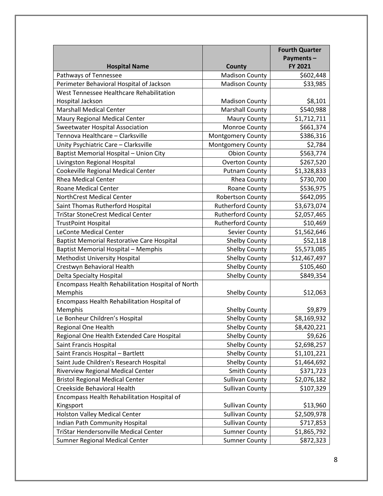|                                                   |                          | <b>Fourth Quarter</b> |
|---------------------------------------------------|--------------------------|-----------------------|
|                                                   |                          | Payments-             |
| <b>Hospital Name</b>                              | <b>County</b>            | FY 2021               |
| Pathways of Tennessee                             | <b>Madison County</b>    | \$602,448             |
| Perimeter Behavioral Hospital of Jackson          | <b>Madison County</b>    | \$33,985              |
| West Tennessee Healthcare Rehabilitation          |                          |                       |
| Hospital Jackson                                  | <b>Madison County</b>    | \$8,101               |
| <b>Marshall Medical Center</b>                    | <b>Marshall County</b>   | \$540,988             |
| Maury Regional Medical Center                     | <b>Maury County</b>      | \$1,712,711           |
| Sweetwater Hospital Association                   | Monroe County            | \$661,374             |
| Tennova Healthcare - Clarksville                  | <b>Montgomery County</b> | \$386,316             |
| Unity Psychiatric Care - Clarksville              | <b>Montgomery County</b> | \$2,784               |
| Baptist Memorial Hospital - Union City            | <b>Obion County</b>      | \$563,774             |
| Livingston Regional Hospital                      | <b>Overton County</b>    | \$267,520             |
| Cookeville Regional Medical Center                | <b>Putnam County</b>     | \$1,328,833           |
| <b>Rhea Medical Center</b>                        | Rhea County              | \$730,700             |
| <b>Roane Medical Center</b>                       | Roane County             | \$536,975             |
| NorthCrest Medical Center                         | Robertson County         | \$642,095             |
| Saint Thomas Rutherford Hospital                  | <b>Rutherford County</b> | \$3,673,074           |
| <b>TriStar StoneCrest Medical Center</b>          | <b>Rutherford County</b> | \$2,057,465           |
| <b>TrustPoint Hospital</b>                        | <b>Rutherford County</b> | \$10,469              |
| <b>LeConte Medical Center</b>                     | <b>Sevier County</b>     | \$1,562,646           |
| <b>Baptist Memorial Restorative Care Hospital</b> | <b>Shelby County</b>     | \$52,118              |
| <b>Baptist Memorial Hospital - Memphis</b>        | <b>Shelby County</b>     | \$5,573,085           |
| Methodist University Hospital                     | Shelby County            | \$12,467,497          |
| Crestwyn Behavioral Health                        | <b>Shelby County</b>     | \$105,460             |
| <b>Delta Specialty Hospital</b>                   | <b>Shelby County</b>     | \$849,354             |
| Encompass Health Rehabilitation Hospital of North |                          |                       |
| Memphis                                           | <b>Shelby County</b>     | \$12,063              |
| Encompass Health Rehabilitation Hospital of       |                          |                       |
| Memphis                                           | <b>Shelby County</b>     | \$9,879               |
| Le Bonheur Children's Hospital                    | <b>Shelby County</b>     | \$8,169,932           |
| Regional One Health                               | <b>Shelby County</b>     | \$8,420,221           |
| Regional One Health Extended Care Hospital        | <b>Shelby County</b>     | \$9,626               |
| Saint Francis Hospital                            | <b>Shelby County</b>     | \$2,698,257           |
| Saint Francis Hospital - Bartlett                 | <b>Shelby County</b>     | \$1,101,221           |
| Saint Jude Children's Research Hospital           | <b>Shelby County</b>     | \$1,464,692           |
| <b>Riverview Regional Medical Center</b>          | Smith County             | \$371,723             |
| <b>Bristol Regional Medical Center</b>            | <b>Sullivan County</b>   | \$2,076,182           |
| Creekside Behavioral Health                       | <b>Sullivan County</b>   | \$107,329             |
| Encompass Health Rehabilitation Hospital of       |                          |                       |
| Kingsport                                         | <b>Sullivan County</b>   | \$13,960              |
| <b>Holston Valley Medical Center</b>              | <b>Sullivan County</b>   | \$2,509,978           |
| Indian Path Community Hospital                    | <b>Sullivan County</b>   | \$717,853             |
| <b>TriStar Hendersonville Medical Center</b>      | <b>Sumner County</b>     | \$1,865,792           |
| Sumner Regional Medical Center                    | <b>Sumner County</b>     | \$872,323             |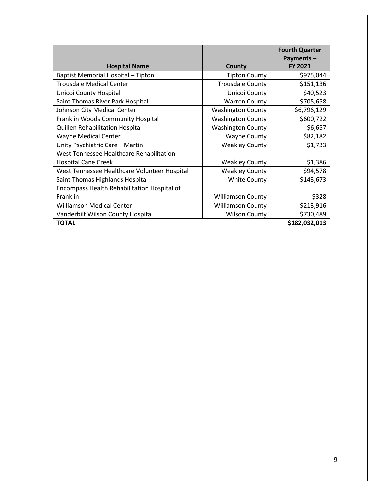|                                              |                          | <b>Fourth Quarter</b><br>Payments- |
|----------------------------------------------|--------------------------|------------------------------------|
| <b>Hospital Name</b>                         | County                   | FY 2021                            |
| Baptist Memorial Hospital - Tipton           | <b>Tipton County</b>     | \$975,044                          |
| <b>Trousdale Medical Center</b>              | <b>Trousdale County</b>  | \$151,136                          |
| Unicoi County Hospital                       | Unicoi County            | \$40,523                           |
| Saint Thomas River Park Hospital             | <b>Warren County</b>     | \$705,658                          |
| Johnson City Medical Center                  | <b>Washington County</b> | \$6,796,129                        |
| Franklin Woods Community Hospital            | <b>Washington County</b> | \$600,722                          |
| Quillen Rehabilitation Hospital              | <b>Washington County</b> | \$6,657                            |
| <b>Wayne Medical Center</b>                  | <b>Wayne County</b>      | \$82,182                           |
| Unity Psychiatric Care - Martin              | <b>Weakley County</b>    | \$1,733                            |
| West Tennessee Healthcare Rehabilitation     |                          |                                    |
| <b>Hospital Cane Creek</b>                   | <b>Weakley County</b>    | \$1,386                            |
| West Tennessee Healthcare Volunteer Hospital | <b>Weakley County</b>    | \$94,578                           |
| Saint Thomas Highlands Hospital              | <b>White County</b>      | \$143,673                          |
| Encompass Health Rehabilitation Hospital of  |                          |                                    |
| Franklin                                     | <b>Williamson County</b> | \$328                              |
| <b>Williamson Medical Center</b>             | <b>Williamson County</b> | \$213,916                          |
| Vanderbilt Wilson County Hospital            | <b>Wilson County</b>     | \$730,489                          |
| <b>TOTAL</b>                                 |                          | \$182,032,013                      |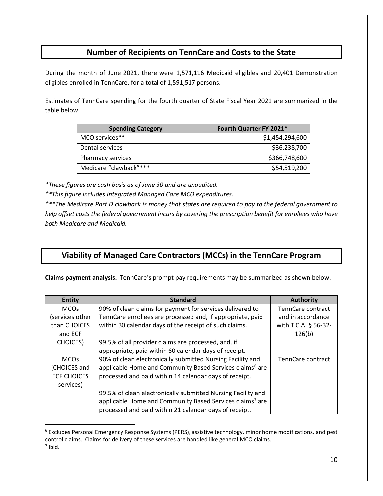## **Number of Recipients on TennCare and Costs to the State**

During the month of June 2021, there were 1,571,116 Medicaid eligibles and 20,401 Demonstration eligibles enrolled in TennCare, for a total of 1,591,517 persons.

Estimates of TennCare spending for the fourth quarter of State Fiscal Year 2021 are summarized in the table below.

| <b>Spending Category</b> | Fourth Quarter FY 2021* |
|--------------------------|-------------------------|
| MCO services**           | \$1,454,294,600         |
| Dental services          | \$36,238,700            |
| Pharmacy services        | \$366,748,600           |
| Medicare "clawback"***   | \$54,519,200            |

*\*These figures are cash basis as of June 30 and are unaudited.*

*\*\*This figure includes Integrated Managed Care MCO expenditures.*

*\*\*\*The Medicare Part D clawback is money that states are required to pay to the federal government to help offset costs the federal government incurs by covering the prescription benefit for enrollees who have both Medicare and Medicaid.*

## **Viability of Managed Care Contractors (MCCs) in the TennCare Program**

**Claims payment analysis.** TennCare's prompt pay requirements may be summarized as shown below.

| <b>Entity</b>          | <b>Standard</b>                                                      | <b>Authority</b>         |
|------------------------|----------------------------------------------------------------------|--------------------------|
| <b>MCOs</b>            | 90% of clean claims for payment for services delivered to            | TennCare contract        |
| services other         | TennCare enrollees are processed and, if appropriate, paid           | and in accordance        |
| than CHOICES           | within 30 calendar days of the receipt of such claims.               | with T.C.A. § 56-32-     |
| and ECF                |                                                                      | 126(b)                   |
| <b>CHOICES</b> )       | 99.5% of all provider claims are processed, and, if                  |                          |
|                        | appropriate, paid within 60 calendar days of receipt.                |                          |
| <b>MCO<sub>s</sub></b> | 90% of clean electronically submitted Nursing Facility and           | <b>TennCare contract</b> |
| (CHOICES and           | applicable Home and Community Based Services claims <sup>6</sup> are |                          |
| <b>ECF CHOICES</b>     | processed and paid within 14 calendar days of receipt.               |                          |
| services)              |                                                                      |                          |
|                        | 99.5% of clean electronically submitted Nursing Facility and         |                          |
|                        | applicable Home and Community Based Services claims <sup>7</sup> are |                          |
|                        | processed and paid within 21 calendar days of receipt.               |                          |

<span id="page-9-1"></span><span id="page-9-0"></span><sup>6</sup> Excludes Personal Emergency Response Systems (PERS), assistive technology, minor home modifications, and pest control claims. Claims for delivery of these services are handled like general MCO claims. <sup>7</sup> Ibid.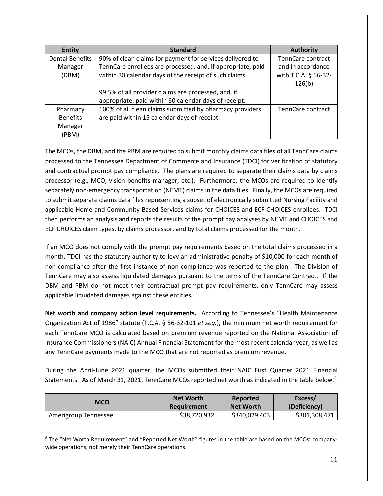| <b>Entity</b>          | <b>Standard</b>                                             | <b>Authority</b>     |
|------------------------|-------------------------------------------------------------|----------------------|
| <b>Dental Benefits</b> | 90% of clean claims for payment for services delivered to   | TennCare contract    |
| Manager                | TennCare enrollees are processed, and, if appropriate, paid | and in accordance    |
| (DBM)                  | within 30 calendar days of the receipt of such claims.      | with T.C.A. § 56-32- |
|                        |                                                             | 126(b)               |
|                        | 99.5% of all provider claims are processed, and, if         |                      |
|                        | appropriate, paid within 60 calendar days of receipt.       |                      |
| Pharmacy               | 100% of all clean claims submitted by pharmacy providers    | TennCare contract    |
| <b>Benefits</b>        | are paid within 15 calendar days of receipt.                |                      |
| Manager                |                                                             |                      |
| (PBM)                  |                                                             |                      |

The MCOs, the DBM, and the PBM are required to submit monthly claims data files of all TennCare claims processed to the Tennessee Department of Commerce and Insurance (TDCI) for verification of statutory and contractual prompt pay compliance. The plans are required to separate their claims data by claims processor (e.g., MCO, vision benefits manager, etc.). Furthermore, the MCOs are required to identify separately non-emergency transportation (NEMT) claims in the data files. Finally, the MCOs are required to submit separate claims data files representing a subset of electronically submitted Nursing Facility and applicable Home and Community Based Services claims for CHOICES and ECF CHOICES enrollees. TDCI then performs an analysis and reports the results of the prompt pay analyses by NEMT and CHOICES and ECF CHOICES claim types, by claims processor, and by total claims processed for the month.

If an MCO does not comply with the prompt pay requirements based on the total claims processed in a month, TDCI has the statutory authority to levy an administrative penalty of \$10,000 for each month of non-compliance after the first instance of non-compliance was reported to the plan. The Division of TennCare may also assess liquidated damages pursuant to the terms of the TennCare Contract. If the DBM and PBM do not meet their contractual prompt pay requirements, only TennCare may assess applicable liquidated damages against these entities.

**Net worth and company action level requirements.** According to Tennessee's "Health Maintenance Organization Act of 1986" statute (T.C.A. § 56-32-101 *et seq.*), the minimum net worth requirement for each TennCare MCO is calculated based on premium revenue reported on the National Association of Insurance Commissioners (NAIC) Annual Financial Statement for the most recent calendar year, as well as any TennCare payments made to the MCO that are not reported as premium revenue.

During the April-June 2021 quarter, the MCOs submitted their NAIC First Quarter 2021 Financial Statements. As of March 31, 2021, TennCare MCOs reported net worth as indicated in the table below.<sup>[8](#page-10-0)</sup>

| <b>MCO</b>           | <b>Net Worth</b> | Reported         | Excess/       |
|----------------------|------------------|------------------|---------------|
|                      | Requirement      | <b>Net Worth</b> | (Deficiency)  |
| Amerigroup Tennessee | \$38,720,932     | \$340,029,403    | \$301,308,471 |

<span id="page-10-0"></span><sup>8</sup> The "Net Worth Requirement" and "Reported Net Worth" figures in the table are based on the MCOs' companywide operations, not merely their TennCare operations.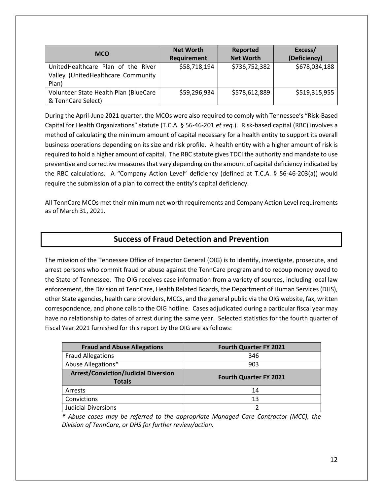| <b>MCO</b>                            | <b>Net Worth</b>   | <b>Reported</b>  | Excess/       |
|---------------------------------------|--------------------|------------------|---------------|
|                                       | <b>Requirement</b> | <b>Net Worth</b> | (Deficiency)  |
| UnitedHealthcare Plan of the River    | \$58,718,194       | \$736,752,382    | \$678,034,188 |
| Valley (UnitedHealthcare Community    |                    |                  |               |
| Plan)                                 |                    |                  |               |
| Volunteer State Health Plan (BlueCare | \$59,296,934       | \$578,612,889    | \$519,315,955 |
| & TennCare Select)                    |                    |                  |               |

During the April-June 2021 quarter, the MCOs were also required to comply with Tennessee's "Risk-Based Capital for Health Organizations" statute (T.C.A. § 56-46-201 *et seq.*). Risk-based capital (RBC) involves a method of calculating the minimum amount of capital necessary for a health entity to support its overall business operations depending on its size and risk profile. A health entity with a higher amount of risk is required to hold a higher amount of capital. The RBC statute gives TDCI the authority and mandate to use preventive and corrective measures that vary depending on the amount of capital deficiency indicated by the RBC calculations. A "Company Action Level" deficiency (defined at T.C.A. § 56-46-203(a)) would require the submission of a plan to correct the entity's capital deficiency.

All TennCare MCOs met their minimum net worth requirements and Company Action Level requirements as of March 31, 2021.

## **Success of Fraud Detection and Prevention**

The mission of the Tennessee Office of Inspector General (OIG) is to identify, investigate, prosecute, and arrest persons who commit fraud or abuse against the TennCare program and to recoup money owed to the State of Tennessee.The OIG receives case information from a variety of sources, including local law enforcement, the Division of TennCare, Health Related Boards, the Department of Human Services (DHS), other State agencies, health care providers, MCCs, and the general public via the OIG website, fax, written correspondence, and phone calls to the OIG hotline. Cases adjudicated during a particular fiscal year may have no relationship to dates of arrest during the same year. Selected statistics for the fourth quarter of Fiscal Year 2021 furnished for this report by the OIG are as follows:

| <b>Fraud and Abuse Allegations</b>                           | <b>Fourth Quarter FY 2021</b> |
|--------------------------------------------------------------|-------------------------------|
| <b>Fraud Allegations</b>                                     | 346                           |
| Abuse Allegations*                                           | 903                           |
| <b>Arrest/Conviction/Judicial Diversion</b><br><b>Totals</b> | <b>Fourth Quarter FY 2021</b> |
| Arrests                                                      | 14                            |
| Convictions                                                  | 13                            |
| <b>Judicial Diversions</b>                                   |                               |

*\* Abuse cases may be referred to the appropriate Managed Care Contractor (MCC), the Division of TennCare, or DHS for further review/action.*